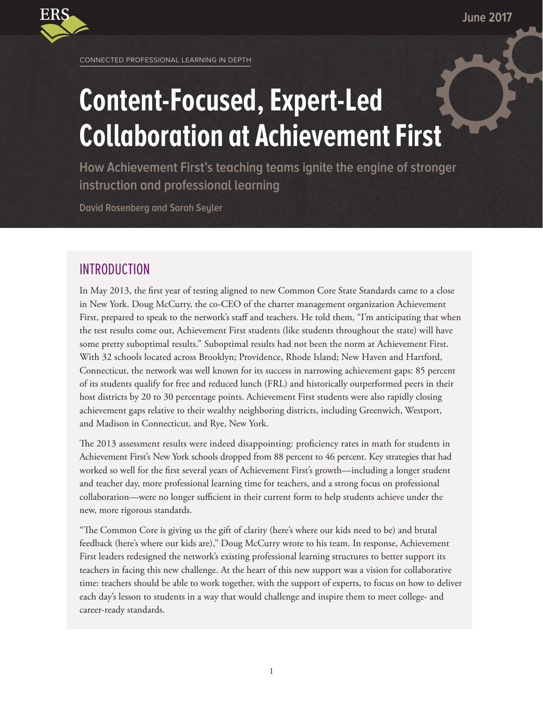

CONNECTED PROFESSIONAL LEARNING IN DEPTH

# **Content-Focused, Expert-Led Collaboration at Achievement First**

**How Achievement First's teaching teams ignite the engine of stronger instruction and professional learning**

**David Rosenberg and Sarah Seyler**

## INTRODUCTION

In May 2013, the first year of testing aligned to new Common Core State Standards came to a close in New York. Doug McCurry, the co-CEO of the charter management organization Achievement First, prepared to speak to the network's staff and teachers. He told them, "I'm anticipating that when the test results come out, Achievement First students (like students throughout the state) will have some pretty suboptimal results." Suboptimal results had not been the norm at Achievement First. With 32 schools located across Brooklyn; Providence, Rhode Island; New Haven and Hartford, Connecticut, the network was well known for its success in narrowing achievement gaps: 85 percent of its students qualify for free and reduced lunch (FRL) and historically outperformed peers in their host districts by 20 to 30 percentage points. Achievement First students were also rapidly closing achievement gaps relative to their wealthy neighboring districts, including Greenwich, Westport, and Madison in Connecticut, and Rye, New York.

The 2013 assessment results were indeed disappointing: proficiency rates in math for students in Achievement First's New York schools dropped from 88 percent to 46 percent. Key strategies that had worked so well for the first several years of Achievement First's growth—including a longer student and teacher day, more professional learning time for teachers, and a strong focus on professional collaboration—were no longer sufficient in their current form to help students achieve under the new, more rigorous standards.

"The Common Core is giving us the gift of clarity (here's where our kids need to be) and brutal feedback (here's where our kids are)," Doug McCurry wrote to his team. In response, Achievement First leaders redesigned the network's existing professional learning structures to better support its teachers in facing this new challenge. At the heart of this new support was a vision for collaborative time: teachers should be able to work together, with the support of experts, to focus on how to deliver each day's lesson to students in a way that would challenge and inspire them to meet college- and career-ready standards.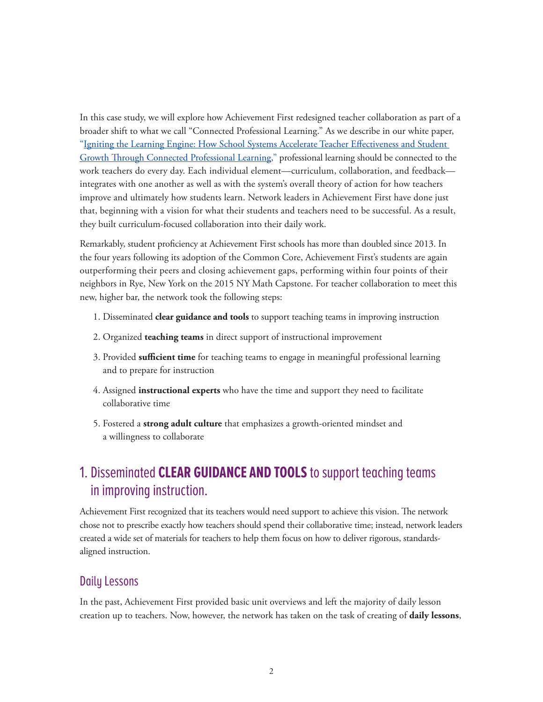In this case study, we will explore how Achievement First redesigned teacher collaboration as part of a broader shift to what we call "Connected Professional Learning." As we describe in our white paper, ["Igniting the Learning Engine: How School Systems Accelerate Teacher Effectiveness and Student](https://www.erstrategies.org/library/connected_professional_learning)  [Growth Through Connected Professional Learning,"](https://www.erstrategies.org/library/connected_professional_learning) professional learning should be connected to the work teachers do every day. Each individual element—curriculum, collaboration, and feedback integrates with one another as well as with the system's overall theory of action for how teachers improve and ultimately how students learn. Network leaders in Achievement First have done just that, beginning with a vision for what their students and teachers need to be successful. As a result, they built curriculum-focused collaboration into their daily work.

Remarkably, student proficiency at Achievement First schools has more than doubled since 2013. In the four years following its adoption of the Common Core, Achievement First's students are again outperforming their peers and closing achievement gaps, performing within four points of their neighbors in Rye, New York on the 2015 NY Math Capstone. For teacher collaboration to meet this new, higher bar, the network took the following steps:

- 1. Disseminated **clear guidance and tools** to support teaching teams in improving instruction
- 2. Organized **teaching teams** in direct support of instructional improvement
- 3. Provided **sufficient time** for teaching teams to engage in meaningful professional learning and to prepare for instruction
- 4. Assigned **instructional experts** who have the time and support they need to facilitate collaborative time
- 5. Fostered a **strong adult culture** that emphasizes a growth-oriented mindset and a willingness to collaborate

# 1. Disseminated **CLEAR GUIDANCE AND TOOLS** to support teaching teams in improving instruction.

Achievement First recognized that its teachers would need support to achieve this vision. The network chose not to prescribe exactly how teachers should spend their collaborative time; instead, network leaders created a wide set of materials for teachers to help them focus on how to deliver rigorous, standardsaligned instruction.

### Daily Lessons

In the past, Achievement First provided basic unit overviews and left the majority of daily lesson creation up to teachers. Now, however, the network has taken on the task of creating of **daily lessons**,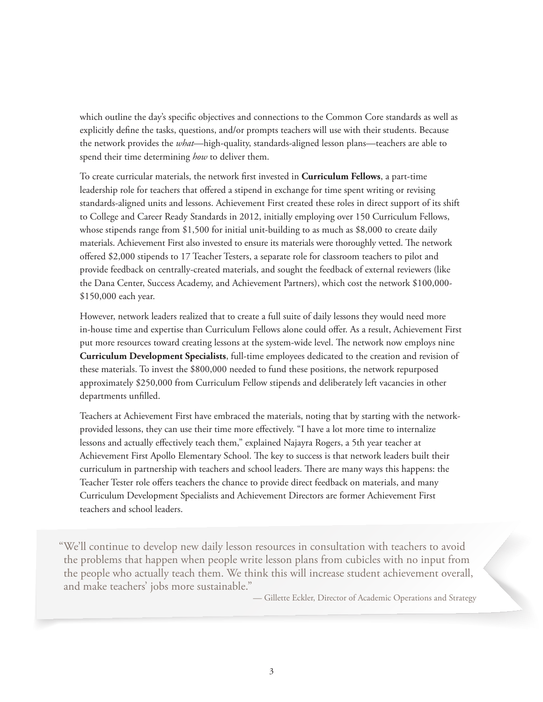which outline the day's specific objectives and connections to the Common Core standards as well as explicitly define the tasks, questions, and/or prompts teachers will use with their students. Because the network provides the *what*—high-quality, standards-aligned lesson plans—teachers are able to spend their time determining *how* to deliver them.

To create curricular materials, the network first invested in **Curriculum Fellows**, a part-time leadership role for teachers that offered a stipend in exchange for time spent writing or revising standards-aligned units and lessons. Achievement First created these roles in direct support of its shift to College and Career Ready Standards in 2012, initially employing over 150 Curriculum Fellows, whose stipends range from \$1,500 for initial unit-building to as much as \$8,000 to create daily materials. Achievement First also invested to ensure its materials were thoroughly vetted. The network offered \$2,000 stipends to 17 Teacher Testers, a separate role for classroom teachers to pilot and provide feedback on centrally-created materials, and sought the feedback of external reviewers (like the Dana Center, Success Academy, and Achievement Partners), which cost the network \$100,000- \$150,000 each year.

However, network leaders realized that to create a full suite of daily lessons they would need more in-house time and expertise than Curriculum Fellows alone could offer. As a result, Achievement First put more resources toward creating lessons at the system-wide level. The network now employs nine **Curriculum Development Specialists**, full-time employees dedicated to the creation and revision of these materials. To invest the \$800,000 needed to fund these positions, the network repurposed approximately \$250,000 from Curriculum Fellow stipends and deliberately left vacancies in other departments unfilled.

Teachers at Achievement First have embraced the materials, noting that by starting with the networkprovided lessons, they can use their time more effectively. "I have a lot more time to internalize lessons and actually effectively teach them," explained Najayra Rogers, a 5th year teacher at Achievement First Apollo Elementary School. The key to success is that network leaders built their curriculum in partnership with teachers and school leaders. There are many ways this happens: the Teacher Tester role offers teachers the chance to provide direct feedback on materials, and many Curriculum Development Specialists and Achievement Directors are former Achievement First teachers and school leaders.

"We'll continue to develop new daily lesson resources in consultation with teachers to avoid the problems that happen when people write lesson plans from cubicles with no input from the people who actually teach them. We think this will increase student achievement overall, and make teachers' jobs more sustainable."

— Gillette Eckler, Director of Academic Operations and Strategy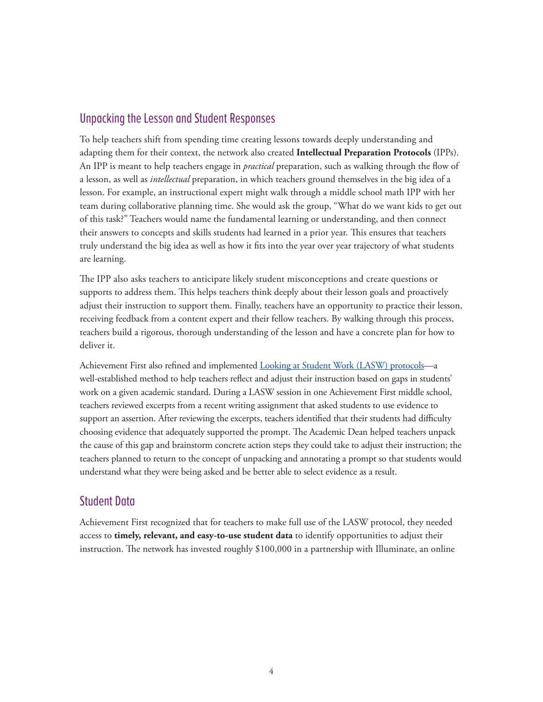### Unpacking the Lesson and Student Responses

To help teachers shift from spending time creating lessons towards deeply understanding and adapting them for their context, the network also created **Intellectual Preparation Protocols** (IPPs). An IPP is meant to help teachers engage in *practical* preparation, such as walking through the flow of a lesson, as well as *intellectual* preparation, in which teachers ground themselves in the big idea of a lesson. For example, an instructional expert might walk through a middle school math IPP with her team during collaborative planning time. She would ask the group, "What do we want kids to get out of this task?" Teachers would name the fundamental learning or understanding, and then connect their answers to concepts and skills students had learned in a prior year. This ensures that teachers truly understand the big idea as well as how it fits into the year over year trajectory of what students are learning.

The IPP also asks teachers to anticipate likely student misconceptions and create questions or supports to address them. This helps teachers think deeply about their lesson goals and proactively adjust their instruction to support them. Finally, teachers have an opportunity to practice their lesson, receiving feedback from a content expert and their fellow teachers. By walking through this process, teachers build a rigorous, thorough understanding of the lesson and have a concrete plan for how to deliver it.

Achievement First also refined and implemented **Looking at Student Work (LASW)** protocols-a well-established method to help teachers reflect and adjust their instruction based on gaps in students' work on a given academic standard. During a LASW session in one Achievement First middle school, teachers reviewed excerpts from a recent writing assignment that asked students to use evidence to support an assertion. After reviewing the excerpts, teachers identified that their students had difficulty choosing evidence that adequately supported the prompt. The Academic Dean helped teachers unpack the cause of this gap and brainstorm concrete action steps they could take to adjust their instruction; the teachers planned to return to the concept of unpacking and annotating a prompt so that students would understand what they were being asked and be better able to select evidence as a result.

### Student Data

Achievement First recognized that for teachers to make full use of the LASW protocol, they needed access to **timely, relevant, and easy-to-use student data** to identify opportunities to adjust their instruction. The network has invested roughly \$100,000 in a partnership with Illuminate, an online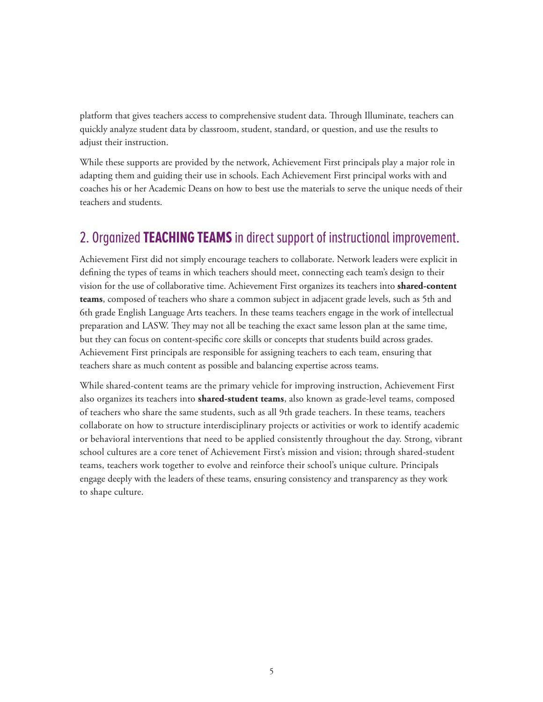platform that gives teachers access to comprehensive student data. Through Illuminate, teachers can quickly analyze student data by classroom, student, standard, or question, and use the results to adjust their instruction.

While these supports are provided by the network, Achievement First principals play a major role in adapting them and guiding their use in schools. Each Achievement First principal works with and coaches his or her Academic Deans on how to best use the materials to serve the unique needs of their teachers and students.

# 2. Organized **TEACHING TEAMS** in direct support of instructional improvement.

Achievement First did not simply encourage teachers to collaborate. Network leaders were explicit in defining the types of teams in which teachers should meet, connecting each team's design to their vision for the use of collaborative time. Achievement First organizes its teachers into **shared-content teams**, composed of teachers who share a common subject in adjacent grade levels, such as 5th and 6th grade English Language Arts teachers. In these teams teachers engage in the work of intellectual preparation and LASW. They may not all be teaching the exact same lesson plan at the same time, but they can focus on content-specific core skills or concepts that students build across grades. Achievement First principals are responsible for assigning teachers to each team, ensuring that teachers share as much content as possible and balancing expertise across teams.

While shared-content teams are the primary vehicle for improving instruction, Achievement First also organizes its teachers into **shared-student teams**, also known as grade-level teams, composed of teachers who share the same students, such as all 9th grade teachers. In these teams, teachers collaborate on how to structure interdisciplinary projects or activities or work to identify academic or behavioral interventions that need to be applied consistently throughout the day. Strong, vibrant school cultures are a core tenet of Achievement First's mission and vision; through shared-student teams, teachers work together to evolve and reinforce their school's unique culture. Principals engage deeply with the leaders of these teams, ensuring consistency and transparency as they work to shape culture.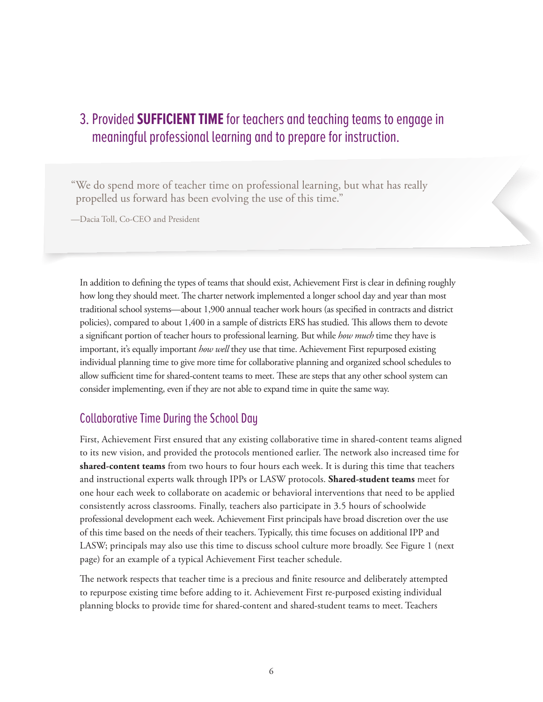# 3. Provided **SUFFICIENT TIME** for teachers and teaching teams to engage in meaningful professional learning and to prepare for instruction.

"We do spend more of teacher time on professional learning, but what has really propelled us forward has been evolving the use of this time."

—Dacia Toll, Co-CEO and President

In addition to defining the types of teams that should exist, Achievement First is clear in defining roughly how long they should meet. The charter network implemented a longer school day and year than most traditional school systems—about 1,900 annual teacher work hours (as specified in contracts and district policies), compared to about 1,400 in a sample of districts ERS has studied. This allows them to devote a significant portion of teacher hours to professional learning. But while *how much* time they have is important, it's equally important *how well* they use that time. Achievement First repurposed existing individual planning time to give more time for collaborative planning and organized school schedules to allow sufficient time for shared-content teams to meet. These are steps that any other school system can consider implementing, even if they are not able to expand time in quite the same way.

### Collaborative Time During the School Day

First, Achievement First ensured that any existing collaborative time in shared-content teams aligned to its new vision, and provided the protocols mentioned earlier. The network also increased time for **shared-content teams** from two hours to four hours each week. It is during this time that teachers and instructional experts walk through IPPs or LASW protocols. **Shared-student teams** meet for one hour each week to collaborate on academic or behavioral interventions that need to be applied consistently across classrooms. Finally, teachers also participate in 3.5 hours of schoolwide professional development each week. Achievement First principals have broad discretion over the use of this time based on the needs of their teachers. Typically, this time focuses on additional IPP and LASW; principals may also use this time to discuss school culture more broadly. See Figure 1 (next page) for an example of a typical Achievement First teacher schedule.

The network respects that teacher time is a precious and finite resource and deliberately attempted to repurpose existing time before adding to it. Achievement First re-purposed existing individual planning blocks to provide time for shared-content and shared-student teams to meet. Teachers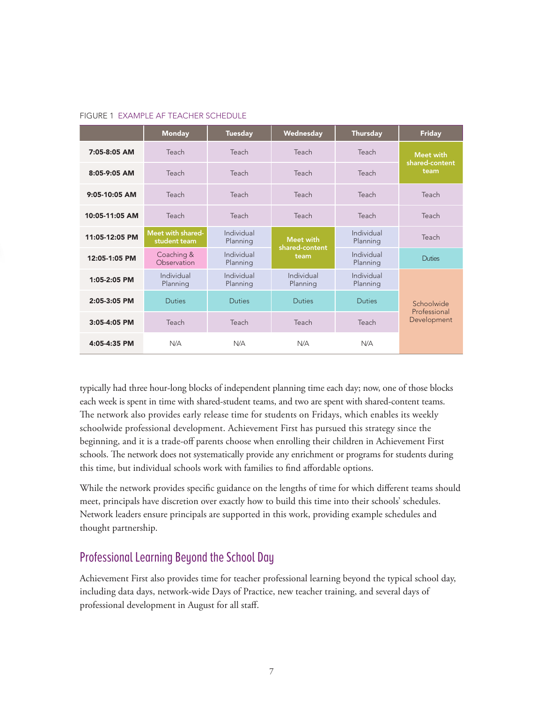|                | <b>Monday</b>                     | <b>Tuesday</b>         | Wednesday                          | <b>Thursday</b>        | <b>Friday</b>                      |
|----------------|-----------------------------------|------------------------|------------------------------------|------------------------|------------------------------------|
| 7:05-8:05 AM   | Teach                             | Teach                  | Teach                              | Teach                  | <b>Meet with</b><br>shared-content |
| $8:05-9:05$ AM | Teach                             | Teach                  | Teach                              | Teach                  | team                               |
| 9:05-10:05 AM  | Teach                             | Teach                  | Teach                              | Teach                  | Teach                              |
| 10:05-11:05 AM | Teach                             | Teach                  | Teach                              | Teach                  | Teach                              |
| 11:05-12:05 PM | Meet with shared-<br>student team | Individual<br>Planning | <b>Meet with</b><br>shared-content | Individual<br>Planning | Teach                              |
| 12:05-1:05 PM  | Coaching &<br>Observation         | Individual<br>Planning | team                               | Individual<br>Planning | <b>Duties</b>                      |
| 1:05-2:05 PM   | Individual<br>Planning            | Individual<br>Planning | Individual<br>Planning             | Individual<br>Planning |                                    |
| 2:05-3:05 PM   | <b>Duties</b>                     | <b>Duties</b>          | <b>Duties</b>                      | <b>Duties</b>          | Schoolwide<br>Professional         |
| 3:05-4:05 PM   | Teach                             | Teach                  | Teach                              | Teach                  | Development                        |
| 4:05-4:35 PM   | N/A                               | N/A                    | N/A                                | N/A                    |                                    |

#### FIGURE 1 EXAMPLE AF TEACHER SCHEDULE

typically had three hour-long blocks of independent planning time each day; now, one of those blocks each week is spent in time with shared-student teams, and two are spent with shared-content teams. The network also provides early release time for students on Fridays, which enables its weekly schoolwide professional development. Achievement First has pursued this strategy since the beginning, and it is a trade-off parents choose when enrolling their children in Achievement First schools. The network does not systematically provide any enrichment or programs for students during this time, but individual schools work with families to find affordable options.

While the network provides specific guidance on the lengths of time for which different teams should meet, principals have discretion over exactly how to build this time into their schools' schedules. Network leaders ensure principals are supported in this work, providing example schedules and thought partnership.

### Professional Learning Beyond the School Day

Achievement First also provides time for teacher professional learning beyond the typical school day, including data days, network-wide Days of Practice, new teacher training, and several days of professional development in August for all staff.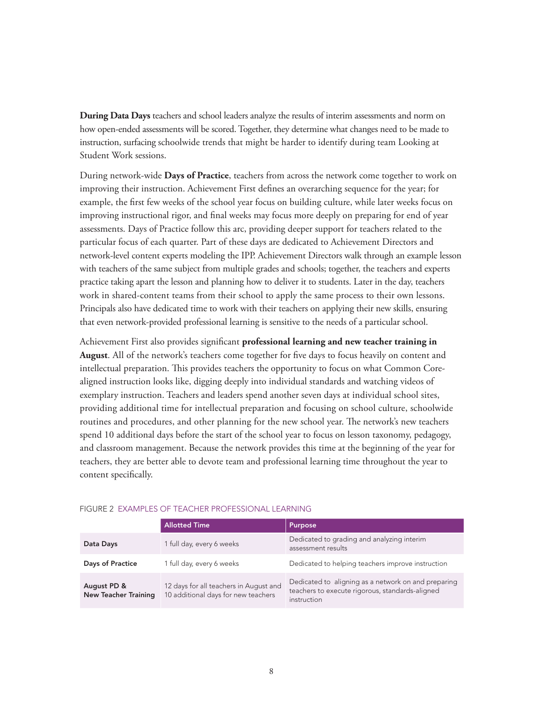**During Data Days** teachers and school leaders analyze the results of interim assessments and norm on how open-ended assessments will be scored. Together, they determine what changes need to be made to instruction, surfacing schoolwide trends that might be harder to identify during team Looking at Student Work sessions.

During network-wide **Days of Practice**, teachers from across the network come together to work on improving their instruction. Achievement First defines an overarching sequence for the year; for example, the first few weeks of the school year focus on building culture, while later weeks focus on improving instructional rigor, and final weeks may focus more deeply on preparing for end of year assessments. Days of Practice follow this arc, providing deeper support for teachers related to the particular focus of each quarter. Part of these days are dedicated to Achievement Directors and network-level content experts modeling the IPP. Achievement Directors walk through an example lesson with teachers of the same subject from multiple grades and schools; together, the teachers and experts practice taking apart the lesson and planning how to deliver it to students. Later in the day, teachers work in shared-content teams from their school to apply the same process to their own lessons. Principals also have dedicated time to work with their teachers on applying their new skills, ensuring that even network-provided professional learning is sensitive to the needs of a particular school.

Achievement First also provides significant **professional learning and new teacher training in August**. All of the network's teachers come together for five days to focus heavily on content and intellectual preparation. This provides teachers the opportunity to focus on what Common Corealigned instruction looks like, digging deeply into individual standards and watching videos of exemplary instruction. Teachers and leaders spend another seven days at individual school sites, providing additional time for intellectual preparation and focusing on school culture, schoolwide routines and procedures, and other planning for the new school year. The network's new teachers spend 10 additional days before the start of the school year to focus on lesson taxonomy, pedagogy, and classroom management. Because the network provides this time at the beginning of the year for teachers, they are better able to devote team and professional learning time throughout the year to content specifically.

|                                            | <b>Allotted Time</b>                                                          | Purpose                                                                                                               |
|--------------------------------------------|-------------------------------------------------------------------------------|-----------------------------------------------------------------------------------------------------------------------|
| Data Days                                  | 1 full day, every 6 weeks                                                     | Dedicated to grading and analyzing interim<br>assessment results                                                      |
| <b>Days of Practice</b>                    | 1 full day, every 6 weeks                                                     | Dedicated to helping teachers improve instruction                                                                     |
| August PD &<br><b>New Teacher Training</b> | 12 days for all teachers in August and<br>10 additional days for new teachers | Dedicated to aligning as a network on and preparing<br>teachers to execute rigorous, standards-aligned<br>instruction |

#### FIGURE 2 EXAMPLES OF TEACHER PROFESSIONAL LEARNING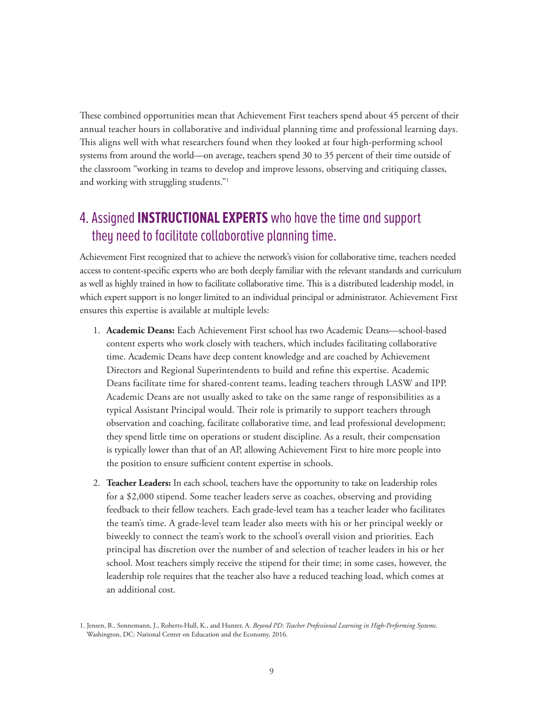These combined opportunities mean that Achievement First teachers spend about 45 percent of their annual teacher hours in collaborative and individual planning time and professional learning days. This aligns well with what researchers found when they looked at four high-performing school systems from around the world—on average, teachers spend 30 to 35 percent of their time outside of the classroom "working in teams to develop and improve lessons, observing and critiquing classes, and working with struggling students."1

# 4. Assigned **INSTRUCTIONAL EXPERTS** who have the time and support they need to facilitate collaborative planning time.

Achievement First recognized that to achieve the network's vision for collaborative time, teachers needed access to content-specific experts who are both deeply familiar with the relevant standards and curriculum as well as highly trained in how to facilitate collaborative time. This is a distributed leadership model, in which expert support is no longer limited to an individual principal or administrator. Achievement First ensures this expertise is available at multiple levels:

- 1. **Academic Deans:** Each Achievement First school has two Academic Deans—school-based content experts who work closely with teachers, which includes facilitating collaborative time. Academic Deans have deep content knowledge and are coached by Achievement Directors and Regional Superintendents to build and refine this expertise. Academic Deans facilitate time for shared-content teams, leading teachers through LASW and IPP. Academic Deans are not usually asked to take on the same range of responsibilities as a typical Assistant Principal would. Their role is primarily to support teachers through observation and coaching, facilitate collaborative time, and lead professional development; they spend little time on operations or student discipline. As a result, their compensation is typically lower than that of an AP, allowing Achievement First to hire more people into the position to ensure sufficient content expertise in schools.
- 2. **Teacher Leaders:** In each school, teachers have the opportunity to take on leadership roles for a \$2,000 stipend. Some teacher leaders serve as coaches, observing and providing feedback to their fellow teachers. Each grade-level team has a teacher leader who facilitates the team's time. A grade-level team leader also meets with his or her principal weekly or biweekly to connect the team's work to the school's overall vision and priorities. Each principal has discretion over the number of and selection of teacher leaders in his or her school. Most teachers simply receive the stipend for their time; in some cases, however, the leadership role requires that the teacher also have a reduced teaching load, which comes at an additional cost.

<sup>1.</sup> Jensen, B., Sonnemann, J., Roberts-Hull, K., and Hunter, A. *Beyond PD: Teacher Professional Learning in High-Performing Systems*. Washington, DC: National Center on Education and the Economy, 2016.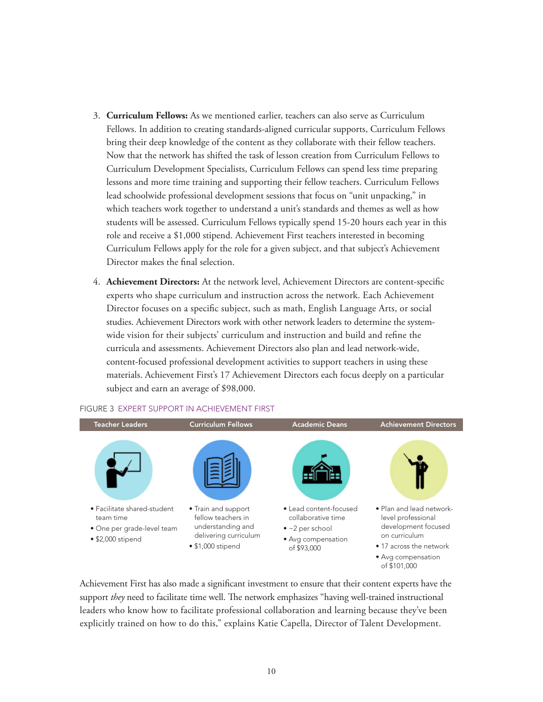- 3. **Curriculum Fellows:** As we mentioned earlier, teachers can also serve as Curriculum Fellows. In addition to creating standards-aligned curricular supports, Curriculum Fellows bring their deep knowledge of the content as they collaborate with their fellow teachers. Now that the network has shifted the task of lesson creation from Curriculum Fellows to Curriculum Development Specialists, Curriculum Fellows can spend less time preparing lessons and more time training and supporting their fellow teachers. Curriculum Fellows lead schoolwide professional development sessions that focus on "unit unpacking," in which teachers work together to understand a unit's standards and themes as well as how students will be assessed. Curriculum Fellows typically spend 15-20 hours each year in this role and receive a \$1,000 stipend. Achievement First teachers interested in becoming Curriculum Fellows apply for the role for a given subject, and that subject's Achievement Director makes the final selection.
- 4. **Achievement Directors:** At the network level, Achievement Directors are content-specific experts who shape curriculum and instruction across the network. Each Achievement Director focuses on a specific subject, such as math, English Language Arts, or social studies. Achievement Directors work with other network leaders to determine the systemwide vision for their subjects' curriculum and instruction and build and refine the curricula and assessments. Achievement Directors also plan and lead network-wide, content-focused professional development activities to support teachers in using these materials. Achievement First's 17 Achievement Directors each focus deeply on a particular subject and earn an average of \$98,000.



#### FIGURE 3 EXPERT SUPPORT IN ACHIEVEMENT FIRST

Achievement First has also made a significant investment to ensure that their content experts have the support *they* need to facilitate time well. The network emphasizes "having well-trained instructional leaders who know how to facilitate professional collaboration and learning because they've been explicitly trained on how to do this," explains Katie Capella, Director of Talent Development.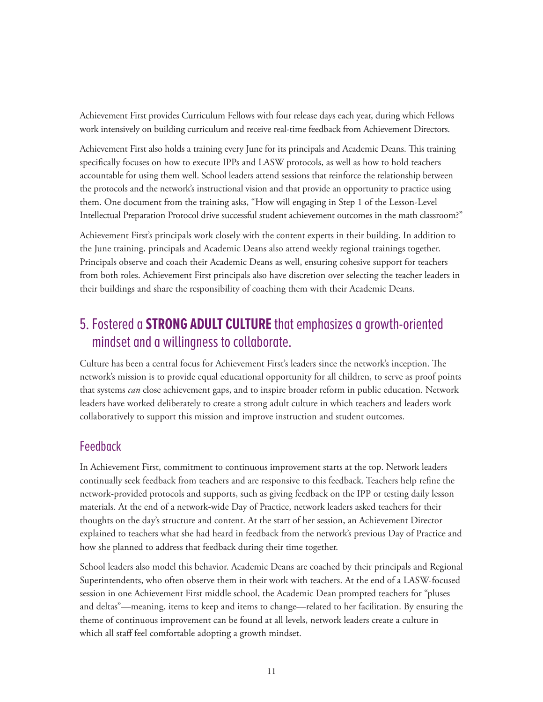Achievement First provides Curriculum Fellows with four release days each year, during which Fellows work intensively on building curriculum and receive real-time feedback from Achievement Directors.

Achievement First also holds a training every June for its principals and Academic Deans. This training specifically focuses on how to execute IPPs and LASW protocols, as well as how to hold teachers accountable for using them well. School leaders attend sessions that reinforce the relationship between the protocols and the network's instructional vision and that provide an opportunity to practice using them. One document from the training asks, "How will engaging in Step 1 of the Lesson-Level Intellectual Preparation Protocol drive successful student achievement outcomes in the math classroom?"

Achievement First's principals work closely with the content experts in their building. In addition to the June training, principals and Academic Deans also attend weekly regional trainings together. Principals observe and coach their Academic Deans as well, ensuring cohesive support for teachers from both roles. Achievement First principals also have discretion over selecting the teacher leaders in their buildings and share the responsibility of coaching them with their Academic Deans.

# 5. Fostered a **STRONG ADULT CULTURE** that emphasizes a growth-oriented mindset and a willingness to collaborate.

Culture has been a central focus for Achievement First's leaders since the network's inception. The network's mission is to provide equal educational opportunity for all children, to serve as proof points that systems *can* close achievement gaps, and to inspire broader reform in public education. Network leaders have worked deliberately to create a strong adult culture in which teachers and leaders work collaboratively to support this mission and improve instruction and student outcomes.

### Feedback

In Achievement First, commitment to continuous improvement starts at the top. Network leaders continually seek feedback from teachers and are responsive to this feedback. Teachers help refine the network-provided protocols and supports, such as giving feedback on the IPP or testing daily lesson materials. At the end of a network-wide Day of Practice, network leaders asked teachers for their thoughts on the day's structure and content. At the start of her session, an Achievement Director explained to teachers what she had heard in feedback from the network's previous Day of Practice and how she planned to address that feedback during their time together.

School leaders also model this behavior. Academic Deans are coached by their principals and Regional Superintendents, who often observe them in their work with teachers. At the end of a LASW-focused session in one Achievement First middle school, the Academic Dean prompted teachers for "pluses and deltas"—meaning, items to keep and items to change—related to her facilitation. By ensuring the theme of continuous improvement can be found at all levels, network leaders create a culture in which all staff feel comfortable adopting a growth mindset.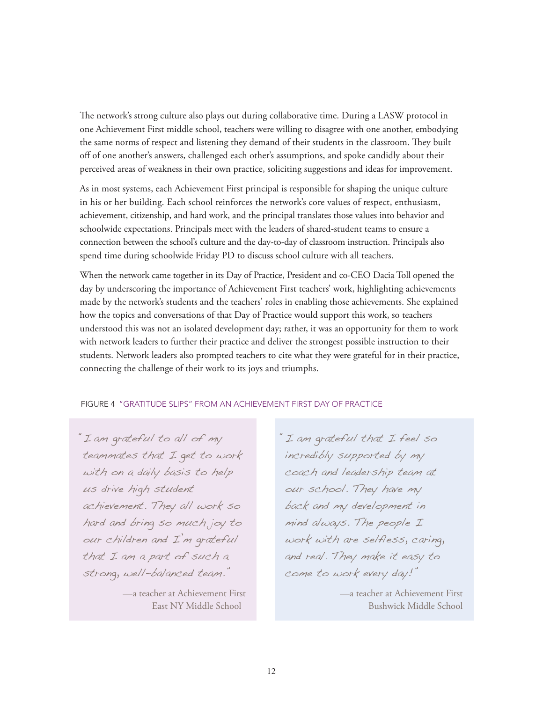The network's strong culture also plays out during collaborative time. During a LASW protocol in one Achievement First middle school, teachers were willing to disagree with one another, embodying the same norms of respect and listening they demand of their students in the classroom. They built off of one another's answers, challenged each other's assumptions, and spoke candidly about their perceived areas of weakness in their own practice, soliciting suggestions and ideas for improvement.

As in most systems, each Achievement First principal is responsible for shaping the unique culture in his or her building. Each school reinforces the network's core values of respect, enthusiasm, achievement, citizenship, and hard work, and the principal translates those values into behavior and schoolwide expectations. Principals meet with the leaders of shared-student teams to ensure a connection between the school's culture and the day-to-day of classroom instruction. Principals also spend time during schoolwide Friday PD to discuss school culture with all teachers.

When the network came together in its Day of Practice, President and co-CEO Dacia Toll opened the day by underscoring the importance of Achievement First teachers' work, highlighting achievements made by the network's students and the teachers' roles in enabling those achievements. She explained how the topics and conversations of that Day of Practice would support this work, so teachers understood this was not an isolated development day; rather, it was an opportunity for them to work with network leaders to further their practice and deliver the strongest possible instruction to their students. Network leaders also prompted teachers to cite what they were grateful for in their practice, connecting the challenge of their work to its joys and triumphs.

#### FIGURE 4 "GRATITUDE SLIPS" FROM AN ACHIEVEMENT FIRST DAY OF PRACTICE

"I am grateful to all of my teammates that I get to work with on a daily basis to help us drive high student achievement. They all work so hard and bring so much joy to our children and I'm grateful that I am a part of such a strong, well-balanced team."

> —a teacher at Achievement First East NY Middle School

"I am grateful that I feel so incredibly supported by my coach and leadership team at our school. They have my back and my development in mind always. The people I work with are selfless, caring, and real. They make it easy to come to work every day!"

> —a teacher at Achievement First Bushwick Middle School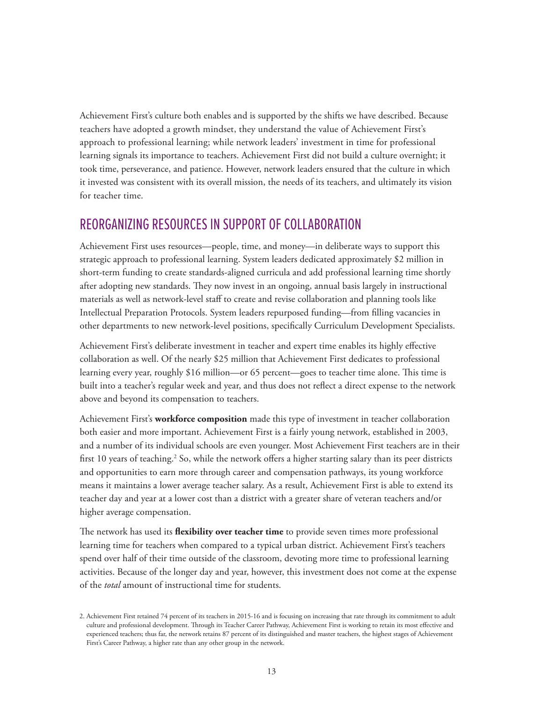Achievement First's culture both enables and is supported by the shifts we have described. Because teachers have adopted a growth mindset, they understand the value of Achievement First's approach to professional learning; while network leaders' investment in time for professional learning signals its importance to teachers. Achievement First did not build a culture overnight; it took time, perseverance, and patience. However, network leaders ensured that the culture in which it invested was consistent with its overall mission, the needs of its teachers, and ultimately its vision for teacher time.

### REORGANIZING RESOURCES IN SUPPORT OF COLLABORATION

Achievement First uses resources—people, time, and money—in deliberate ways to support this strategic approach to professional learning. System leaders dedicated approximately \$2 million in short-term funding to create standards-aligned curricula and add professional learning time shortly after adopting new standards. They now invest in an ongoing, annual basis largely in instructional materials as well as network-level staff to create and revise collaboration and planning tools like Intellectual Preparation Protocols. System leaders repurposed funding—from filling vacancies in other departments to new network-level positions, specifically Curriculum Development Specialists.

Achievement First's deliberate investment in teacher and expert time enables its highly effective collaboration as well. Of the nearly \$25 million that Achievement First dedicates to professional learning every year, roughly \$16 million—or 65 percent—goes to teacher time alone. This time is built into a teacher's regular week and year, and thus does not reflect a direct expense to the network above and beyond its compensation to teachers.

Achievement First's **workforce composition** made this type of investment in teacher collaboration both easier and more important. Achievement First is a fairly young network, established in 2003, and a number of its individual schools are even younger. Most Achievement First teachers are in their first 10 years of teaching.<sup>2</sup> So, while the network offers a higher starting salary than its peer districts and opportunities to earn more through career and compensation pathways, its young workforce means it maintains a lower average teacher salary. As a result, Achievement First is able to extend its teacher day and year at a lower cost than a district with a greater share of veteran teachers and/or higher average compensation.

The network has used its **flexibility over teacher time** to provide seven times more professional learning time for teachers when compared to a typical urban district. Achievement First's teachers spend over half of their time outside of the classroom, devoting more time to professional learning activities. Because of the longer day and year, however, this investment does not come at the expense of the *total* amount of instructional time for students.

<sup>2.</sup> Achievement First retained 74 percent of its teachers in 2015-16 and is focusing on increasing that rate through its commitment to adult culture and professional development. Through its Teacher Career Pathway, Achievement First is working to retain its most effective and experienced teachers; thus far, the network retains 87 percent of its distinguished and master teachers, the highest stages of Achievement First's Career Pathway, a higher rate than any other group in the network.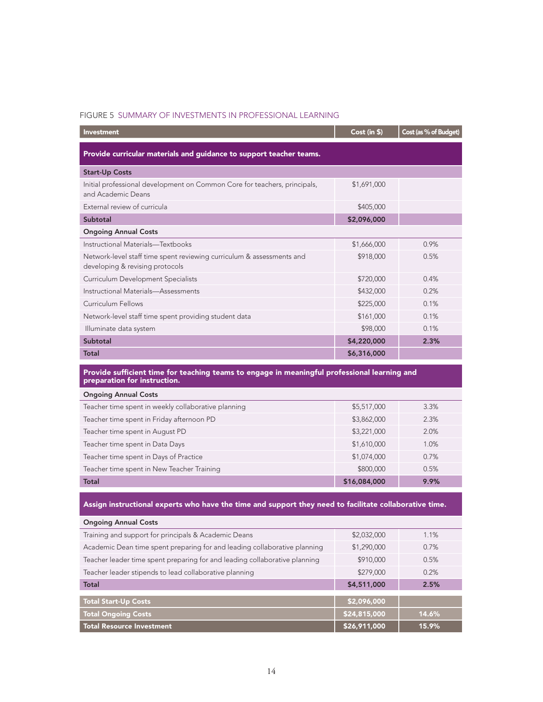#### FIGURE 5 SUMMARY OF INVESTMENTS IN PROFESSIONAL LEARNING

| <b>Investment</b>                                                                                                            | Cost (in \$) | Cost (as % of Budget) |  |
|------------------------------------------------------------------------------------------------------------------------------|--------------|-----------------------|--|
| Provide curricular materials and guidance to support teacher teams.                                                          |              |                       |  |
| <b>Start-Up Costs</b>                                                                                                        |              |                       |  |
| Initial professional development on Common Core for teachers, principals,<br>and Academic Deans                              | \$1,691,000  |                       |  |
| External review of curricula                                                                                                 | \$405,000    |                       |  |
| Subtotal                                                                                                                     | \$2,096,000  |                       |  |
| <b>Ongoing Annual Costs</b>                                                                                                  |              |                       |  |
| Instructional Materials-Textbooks                                                                                            | \$1,666,000  | 0.9%                  |  |
| Network-level staff time spent reviewing curriculum & assessments and<br>developing & revising protocols                     | \$918,000    | 0.5%                  |  |
| <b>Curriculum Development Specialists</b>                                                                                    | \$720,000    | 0.4%                  |  |
| Instructional Materials-Assessments                                                                                          | \$432,000    | 0.2%                  |  |
| Curriculum Fellows                                                                                                           | \$225,000    | 0.1%                  |  |
| Network-level staff time spent providing student data                                                                        | \$161,000    | 0.1%                  |  |
| Illuminate data system                                                                                                       | \$98,000     | 0.1%                  |  |
| Subtotal                                                                                                                     | \$4,220,000  | 2.3%                  |  |
| <b>Total</b>                                                                                                                 | \$6,316,000  |                       |  |
| Provide sufficient time for teaching teams to engage in meaningful professional learning and<br>preparation for instruction. |              |                       |  |
| <b>Ongoing Annual Costs</b>                                                                                                  |              |                       |  |
| Teacher time spent in weekly collaborative planning                                                                          | \$5,517,000  | 3.3%                  |  |

| Total                                      | \$16,084,000 | 9.9% |
|--------------------------------------------|--------------|------|
| Teacher time spent in New Teacher Training | \$800,000    | 0.5% |
| Teacher time spent in Days of Practice     | \$1,074,000  | 0.7% |
| Teacher time spent in Data Days            | \$1,610,000  | 1.0% |
| Teacher time spent in August PD            | \$3,221,000  | 2.0% |
| Teacher time spent in Friday afternoon PD  | \$3,862,000  | 2.3% |
|                                            |              |      |

### Assign instructional experts who have the time and support they need to facilitate collaborative time.

| <b>Ongoing Annual Costs</b>                                                |              |       |
|----------------------------------------------------------------------------|--------------|-------|
| Training and support for principals & Academic Deans                       | \$2,032,000  | 1.1%  |
| Academic Dean time spent preparing for and leading collaborative planning  | \$1,290,000  | 0.7%  |
| Teacher leader time spent preparing for and leading collaborative planning | \$910,000    | 0.5%  |
| Teacher leader stipends to lead collaborative planning                     | \$279,000    | 0.2%  |
| <b>Total</b>                                                               | \$4,511,000  | 2.5%  |
|                                                                            |              |       |
| <b>Total Start-Up Costs</b>                                                | \$2,096,000  |       |
| <b>Total Ongoing Costs</b>                                                 | \$24,815,000 | 14.6% |
| <b>Total Resource Investment</b>                                           | \$26,911,000 | 15.9% |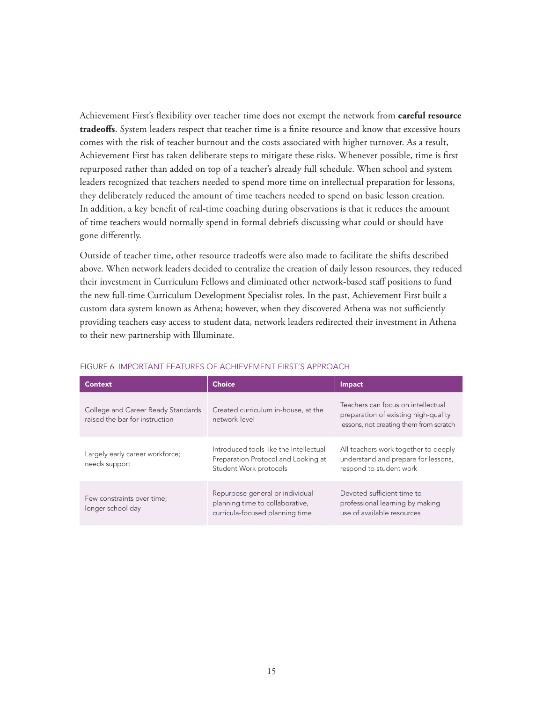Achievement First's flexibility over teacher time does not exempt the network from **careful resource tradeoffs**. System leaders respect that teacher time is a finite resource and know that excessive hours comes with the risk of teacher burnout and the costs associated with higher turnover. As a result, Achievement First has taken deliberate steps to mitigate these risks. Whenever possible, time is first repurposed rather than added on top of a teacher's already full schedule. When school and system leaders recognized that teachers needed to spend more time on intellectual preparation for lessons, they deliberately reduced the amount of time teachers needed to spend on basic lesson creation. In addition, a key benefit of real-time coaching during observations is that it reduces the amount of time teachers would normally spend in formal debriefs discussing what could or should have gone differently.

Outside of teacher time, other resource tradeoffs were also made to facilitate the shifts described above. When network leaders decided to centralize the creation of daily lesson resources, they reduced their investment in Curriculum Fellows and eliminated other network-based staff positions to fund the new full-time Curriculum Development Specialist roles. In the past, Achievement First built a custom data system known as Athena; however, when they discovered Athena was not sufficiently providing teachers easy access to student data, network leaders redirected their investment in Athena to their new partnership with Illuminate.

| <b>Context</b>                                                       | <b>Choice</b>                                                                                           | Impact                                                                                                                |
|----------------------------------------------------------------------|---------------------------------------------------------------------------------------------------------|-----------------------------------------------------------------------------------------------------------------------|
| College and Career Ready Standards<br>raised the bar for instruction | Created curriculum in-house, at the<br>network-level                                                    | Teachers can focus on intellectual<br>preparation of existing high-quality<br>lessons, not creating them from scratch |
| Largely early career workforce;<br>needs support                     | Introduced tools like the Intellectual<br>Preparation Protocol and Looking at<br>Student Work protocols | All teachers work together to deeply<br>understand and prepare for lessons,<br>respond to student work                |
| Few constraints over time;<br>longer school day                      | Repurpose general or individual<br>planning time to collaborative,<br>curricula-focused planning time   | Devoted sufficient time to<br>professional learning by making<br>use of available resources                           |

#### FIGURE 6 IMPORTANT FEATURES OF ACHIEVEMENT FIRST'S APPROACH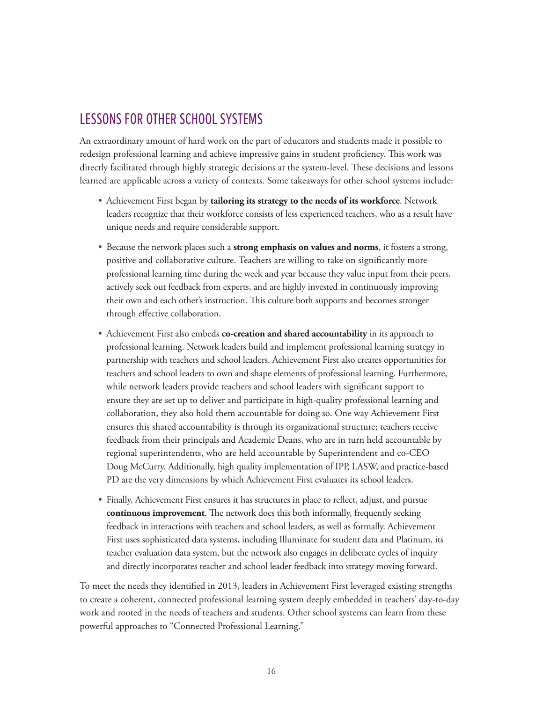# LESSONS FOR OTHER SCHOOL SYSTEMS

An extraordinary amount of hard work on the part of educators and students made it possible to redesign professional learning and achieve impressive gains in student proficiency. This work was directly facilitated through highly strategic decisions at the system-level. These decisions and lessons learned are applicable across a variety of contexts. Some takeaways for other school systems include:

- • Achievement First began by **tailoring its strategy to the needs of its workforce**. Network leaders recognize that their workforce consists of less experienced teachers, who as a result have unique needs and require considerable support.
- • Because the network places such a **strong emphasis on values and norms**, it fosters a strong, positive and collaborative culture. Teachers are willing to take on significantly more professional learning time during the week and year because they value input from their peers, actively seek out feedback from experts, and are highly invested in continuously improving their own and each other's instruction. This culture both supports and becomes stronger through effective collaboration.
- • Achievement First also embeds **co-creation and shared accountability** in its approach to professional learning. Network leaders build and implement professional learning strategy in partnership with teachers and school leaders. Achievement First also creates opportunities for teachers and school leaders to own and shape elements of professional learning. Furthermore, while network leaders provide teachers and school leaders with significant support to ensure they are set up to deliver and participate in high-quality professional learning and collaboration, they also hold them accountable for doing so. One way Achievement First ensures this shared accountability is through its organizational structure; teachers receive feedback from their principals and Academic Deans, who are in turn held accountable by regional superintendents, who are held accountable by Superintendent and co-CEO Doug McCurry. Additionally, high quality implementation of IPP, LASW, and practice-based PD are the very dimensions by which Achievement First evaluates its school leaders.
- Finally, Achievement First ensures it has structures in place to reflect, adjust, and pursue **continuous improvement**. The network does this both informally, frequently seeking feedback in interactions with teachers and school leaders, as well as formally. Achievement First uses sophisticated data systems, including Illuminate for student data and Platinum, its teacher evaluation data system, but the network also engages in deliberate cycles of inquiry and directly incorporates teacher and school leader feedback into strategy moving forward.

To meet the needs they identified in 2013, leaders in Achievement First leveraged existing strengths to create a coherent, connected professional learning system deeply embedded in teachers' day-to-day work and rooted in the needs of teachers and students. Other school systems can learn from these powerful approaches to "Connected Professional Learning."